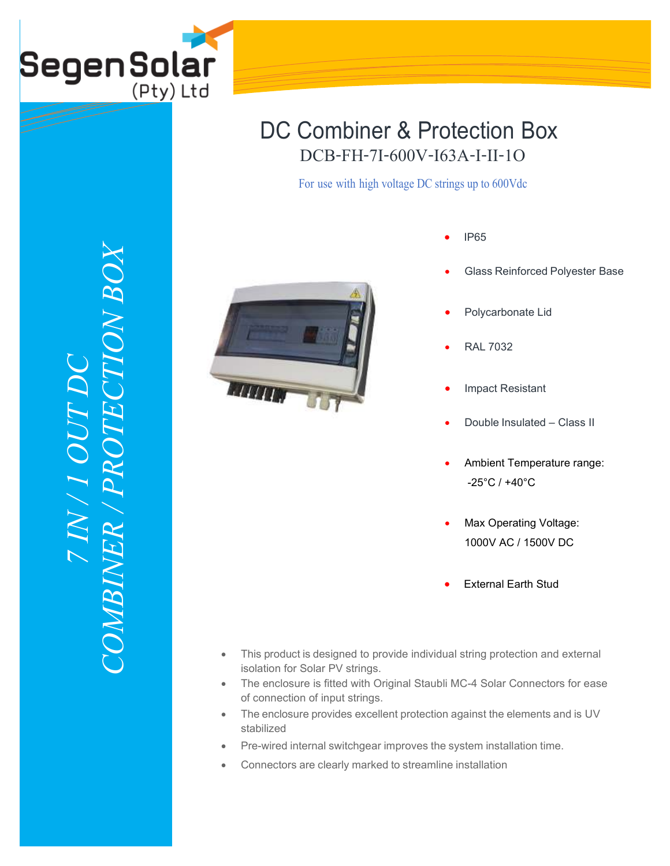

## DCB-FH-7I-600V-I63A-I-II-1O DC Combiner & Protection Box

For use with high voltage DC strings up to 600Vdc



- IP65
- Glass Reinforced Polyester Base
- Polycarbonate Lid
- RAL 7032
- Impact Resistant
- Double Insulated Class II
- Ambient Temperature range: -25°C / +40°C
- Max Operating Voltage: 1000V AC / 1500V DC
- External Earth Stud
- This product is designed to provide individual string protection and external isolation for Solar PV strings.
- The enclosure is fitted with Original Staubli MC-4 Solar Connectors for ease of connection of input strings.
- The enclosure provides excellent protection against the elements and is UV stabilized
- Pre-wired internal switchgear improves the system installation time.
- Connectors are clearly marked to streamline installation

*COMBINER / PROTECTION BOX* $XCOX$ *7 IN / 1 OUT DC*  **NOU** COMBINER / PRO